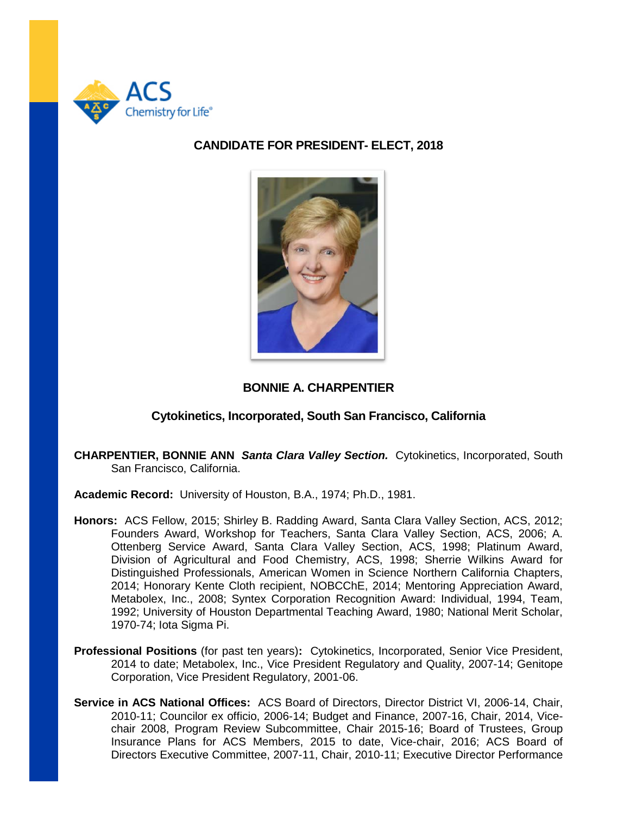

# **CANDIDATE FOR PRESIDENT- ELECT, 2018**



# **BONNIE A. CHARPENTIER**

## **Cytokinetics, Incorporated, South San Francisco, California**

**CHARPENTIER, BONNIE ANN** *Santa Clara Valley Section.* Cytokinetics, Incorporated, South San Francisco, California.

**Academic Record:** University of Houston, B.A., 1974; Ph.D., 1981.

- **Honors:** ACS Fellow, 2015; Shirley B. Radding Award, Santa Clara Valley Section, ACS, 2012; Founders Award, Workshop for Teachers, Santa Clara Valley Section, ACS, 2006; A. Ottenberg Service Award, Santa Clara Valley Section, ACS, 1998; Platinum Award, Division of Agricultural and Food Chemistry, ACS, 1998; Sherrie Wilkins Award for Distinguished Professionals, American Women in Science Northern California Chapters, 2014; Honorary Kente Cloth recipient, NOBCChE, 2014; Mentoring Appreciation Award, Metabolex, Inc., 2008; Syntex Corporation Recognition Award: Individual, 1994, Team, 1992; University of Houston Departmental Teaching Award, 1980; National Merit Scholar, 1970-74; Iota Sigma Pi.
- **Professional Positions** (for past ten years)**:** Cytokinetics, Incorporated, Senior Vice President, 2014 to date; Metabolex, Inc., Vice President Regulatory and Quality, 2007-14; Genitope Corporation, Vice President Regulatory, 2001-06.
- **Service in ACS National Offices:** ACS Board of Directors, Director District VI, 2006-14, Chair, 2010-11; Councilor ex officio, 2006-14; Budget and Finance, 2007-16, Chair, 2014, Vicechair 2008, Program Review Subcommittee, Chair 2015-16; Board of Trustees, Group Insurance Plans for ACS Members, 2015 to date, Vice-chair, 2016; ACS Board of Directors Executive Committee, 2007-11, Chair, 2010-11; Executive Director Performance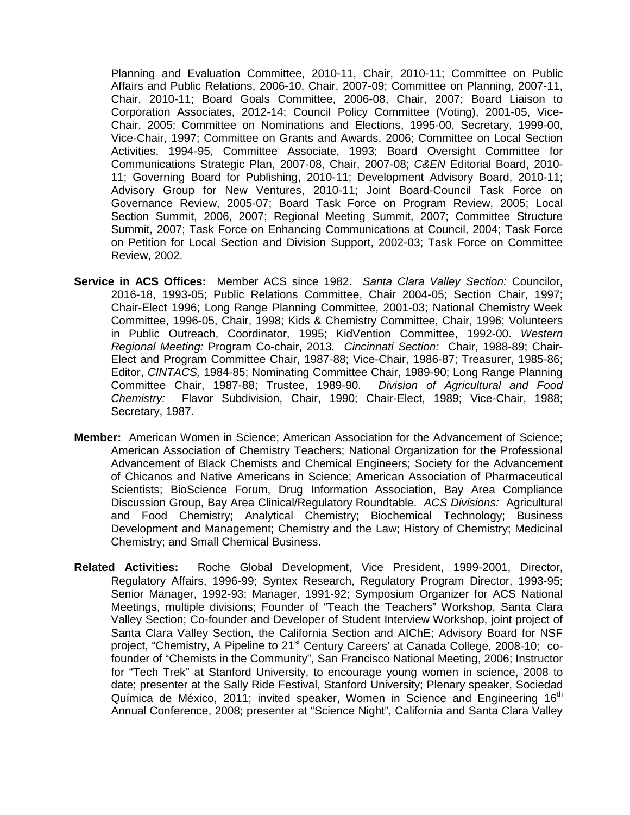Planning and Evaluation Committee, 2010-11, Chair, 2010-11; Committee on Public Affairs and Public Relations, 2006-10, Chair, 2007-09; Committee on Planning, 2007-11, Chair, 2010-11; Board Goals Committee, 2006-08, Chair, 2007; Board Liaison to Corporation Associates, 2012-14; Council Policy Committee (Voting), 2001-05, Vice-Chair, 2005; Committee on Nominations and Elections, 1995-00, Secretary, 1999-00, Vice-Chair, 1997; Committee on Grants and Awards, 2006; Committee on Local Section Activities, 1994-95, Committee Associate, 1993; Board Oversight Committee for Communications Strategic Plan, 2007-08, Chair, 2007-08; *C&EN* Editorial Board, 2010- 11; Governing Board for Publishing, 2010-11; Development Advisory Board, 2010-11; Advisory Group for New Ventures, 2010-11; Joint Board-Council Task Force on Governance Review, 2005-07; Board Task Force on Program Review, 2005; Local Section Summit, 2006, 2007; Regional Meeting Summit, 2007; Committee Structure Summit, 2007; Task Force on Enhancing Communications at Council, 2004; Task Force on Petition for Local Section and Division Support, 2002-03; Task Force on Committee Review, 2002.

- **Service in ACS Offices:** Member ACS since 1982. *Santa Clara Valley Section:* Councilor, 2016-18, 1993-05; Public Relations Committee, Chair 2004-05; Section Chair, 1997; Chair-Elect 1996; Long Range Planning Committee, 2001-03; National Chemistry Week Committee, 1996-05, Chair, 1998; Kids & Chemistry Committee, Chair, 1996; Volunteers in Public Outreach, Coordinator, 1995; KidVention Committee, 1992-00. *Western Regional Meeting:* Program Co-chair, 2013*. Cincinnati Section:* Chair, 1988-89; Chair-Elect and Program Committee Chair, 1987-88; Vice-Chair, 1986-87; Treasurer, 1985-86; Editor, *CINTACS,* 1984-85; Nominating Committee Chair, 1989-90; Long Range Planning Committee Chair, 1987-88; Trustee, 1989-90. *Division of Agricultural and Food Chemistry:* Flavor Subdivision, Chair, 1990; Chair-Elect, 1989; Vice-Chair, 1988; Secretary, 1987.
- **Member:** American Women in Science; American Association for the Advancement of Science; American Association of Chemistry Teachers; National Organization for the Professional Advancement of Black Chemists and Chemical Engineers; Society for the Advancement of Chicanos and Native Americans in Science; American Association of Pharmaceutical Scientists; BioScience Forum, Drug Information Association, Bay Area Compliance Discussion Group, Bay Area Clinical/Regulatory Roundtable. *ACS Divisions:* Agricultural and Food Chemistry; Analytical Chemistry; Biochemical Technology; Business Development and Management; Chemistry and the Law; History of Chemistry; Medicinal Chemistry; and Small Chemical Business.
- **Related Activities:** Roche Global Development, Vice President, 1999-2001, Director, Regulatory Affairs, 1996-99; Syntex Research, Regulatory Program Director, 1993-95; Senior Manager, 1992-93; Manager, 1991-92; Symposium Organizer for ACS National Meetings, multiple divisions; Founder of "Teach the Teachers" Workshop, Santa Clara Valley Section; Co-founder and Developer of Student Interview Workshop, joint project of Santa Clara Valley Section, the California Section and AIChE; Advisory Board for NSF project, "Chemistry, A Pipeline to 21<sup>st</sup> Century Careers' at Canada College, 2008-10; cofounder of "Chemists in the Community", San Francisco National Meeting, 2006; Instructor for "Tech Trek" at Stanford University, to encourage young women in science, 2008 to date; presenter at the Sally Ride Festival, Stanford University; Plenary speaker, Sociedad Química de México, 2011; invited speaker, Women in Science and Engineering  $16<sup>th</sup>$ Annual Conference, 2008; presenter at "Science Night", California and Santa Clara Valley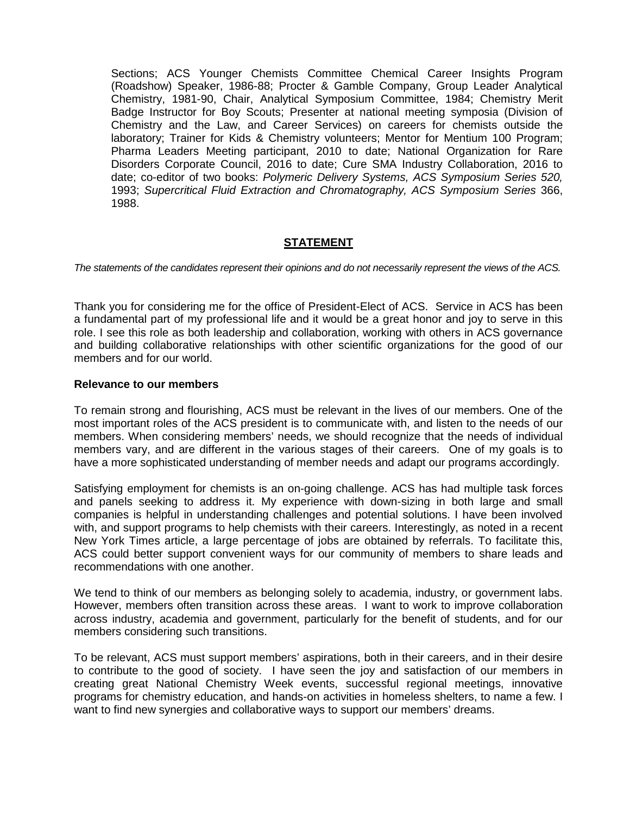Sections; ACS Younger Chemists Committee Chemical Career Insights Program (Roadshow) Speaker, 1986-88; Procter & Gamble Company, Group Leader Analytical Chemistry, 1981-90, Chair, Analytical Symposium Committee, 1984; Chemistry Merit Badge Instructor for Boy Scouts; Presenter at national meeting symposia (Division of Chemistry and the Law, and Career Services) on careers for chemists outside the laboratory; Trainer for Kids & Chemistry volunteers; Mentor for Mentium 100 Program; Pharma Leaders Meeting participant, 2010 to date; National Organization for Rare Disorders Corporate Council, 2016 to date; Cure SMA Industry Collaboration, 2016 to date; co-editor of two books: *Polymeric Delivery Systems, ACS Symposium Series 520,* 1993; *Supercritical Fluid Extraction and Chromatography, ACS Symposium Series* 366, 1988.

## **STATEMENT**

*The statements of the candidates represent their opinions and do not necessarily represent the views of the ACS.*

Thank you for considering me for the office of President-Elect of ACS. Service in ACS has been a fundamental part of my professional life and it would be a great honor and joy to serve in this role. I see this role as both leadership and collaboration, working with others in ACS governance and building collaborative relationships with other scientific organizations for the good of our members and for our world.

#### **Relevance to our members**

To remain strong and flourishing, ACS must be relevant in the lives of our members. One of the most important roles of the ACS president is to communicate with, and listen to the needs of our members. When considering members' needs, we should recognize that the needs of individual members vary, and are different in the various stages of their careers. One of my goals is to have a more sophisticated understanding of member needs and adapt our programs accordingly.

Satisfying employment for chemists is an on-going challenge. ACS has had multiple task forces and panels seeking to address it. My experience with down-sizing in both large and small companies is helpful in understanding challenges and potential solutions. I have been involved with, and support programs to help chemists with their careers. Interestingly, as noted in a recent New York Times article, a large percentage of jobs are obtained by referrals. To facilitate this, ACS could better support convenient ways for our community of members to share leads and recommendations with one another.

We tend to think of our members as belonging solely to academia, industry, or government labs. However, members often transition across these areas. I want to work to improve collaboration across industry, academia and government, particularly for the benefit of students, and for our members considering such transitions.

To be relevant, ACS must support members' aspirations, both in their careers, and in their desire to contribute to the good of society. I have seen the joy and satisfaction of our members in creating great National Chemistry Week events, successful regional meetings, innovative programs for chemistry education, and hands-on activities in homeless shelters, to name a few. I want to find new synergies and collaborative ways to support our members' dreams.